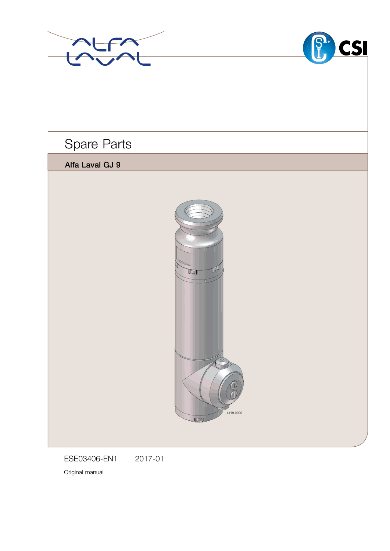



Spare Parts

Alfa Laval GJ 9



ESE03406-EN1 2017-01

Original manual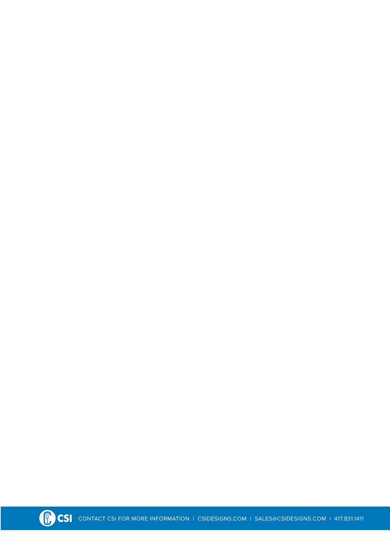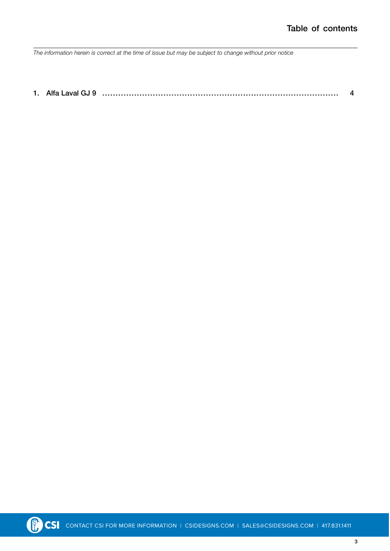*The information herein is correct at the time of issue but may be subject to change without prior notice*

[1. Alfa Laval GJ 9 ......................................................................................... 4](#page-3-0)

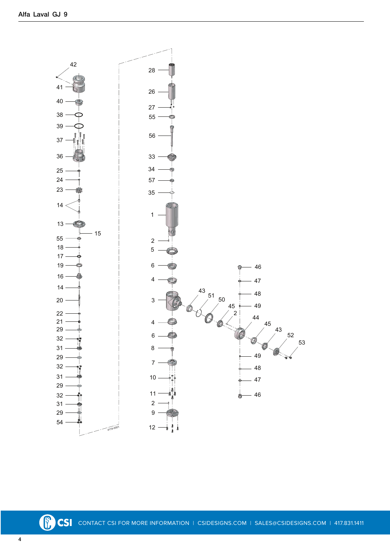<span id="page-3-0"></span>

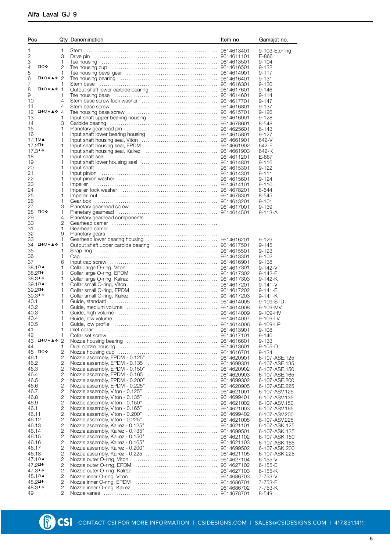| Pos                             |                     | Qty Denomination                                                                                 | Item no. | Gamajet no.                     |
|---------------------------------|---------------------|--------------------------------------------------------------------------------------------------|----------|---------------------------------|
| 1                               | 1                   |                                                                                                  |          | 9-103-Etching                   |
| 2                               | 3                   |                                                                                                  |          | E-866                           |
| 3                               | 1                   |                                                                                                  |          | $9 - 104$                       |
| <b>□○❖</b><br>4                 | 2                   |                                                                                                  |          | $9 - 132$                       |
| 5<br>□◆○★▲◆ 2                   | 1                   |                                                                                                  |          | $9 - 117$                       |
| 6<br>7                          | 1                   |                                                                                                  |          | $9 - 131$<br>$9 - 130$          |
| 8<br>ಯ⊀∆∗⊡                      | $\overline{1}$      |                                                                                                  |          | $9 - 146$                       |
| 9                               | 1                   |                                                                                                  |          | $9 - 114$                       |
| 10                              | 4                   |                                                                                                  |          | $9 - 147$                       |
| 11<br>⊡◆○★▲❖<br>12 <sup>°</sup> | 4<br>$\overline{4}$ |                                                                                                  |          | $9 - 137$<br>$9 - 126$          |
| 13                              | 1                   |                                                                                                  |          | $9 - 128$                       |
| 14                              | З                   |                                                                                                  |          | 8-548                           |
| 15                              | 1                   |                                                                                                  |          | 6-143                           |
| 16<br>17.10▲                    | 1<br>1              |                                                                                                  |          | $9 - 127$<br>642-V              |
| 17.2□◆                          | 1                   |                                                                                                  |          | 642-E                           |
| 17.3★◆                          | 1                   |                                                                                                  |          | 642-K                           |
| 18                              | 1                   |                                                                                                  |          | E-867                           |
| 19<br>20                        | 1<br>1              |                                                                                                  |          | $9 - 116$<br>$9 - 122$          |
| 21                              | 1                   |                                                                                                  |          | $9 - 111$                       |
| 22                              | 1                   |                                                                                                  |          | $9 - 124$                       |
| 23                              | 1<br>1              |                                                                                                  |          | $9 - 110$                       |
| 24<br>25                        | 1                   |                                                                                                  |          | 8-544<br>8-545                  |
| 26                              | 1                   |                                                                                                  |          | $9 - 101$                       |
| 27                              | 3                   |                                                                                                  |          | $9 - 139$                       |
| 口○❖<br>28<br>29                 | 1<br>4              |                                                                                                  |          | $9 - 113 - A$                   |
| 30                              | 2                   |                                                                                                  |          |                                 |
| 31                              | 1                   |                                                                                                  |          |                                 |
| 32                              | 9                   |                                                                                                  |          |                                 |
| 33<br>ಯ◆○★▲☆<br>34              | 1<br>$\mathbf 1$    |                                                                                                  |          | $9 - 129$<br>$9 - 145$          |
| 35                              | 1                   |                                                                                                  |          | $9 - 123$                       |
| 36                              | 1                   |                                                                                                  |          | $9 - 102$                       |
| 37                              | 6                   |                                                                                                  |          | $9 - 138$                       |
| 38.10▲<br>38.2□◆                | 1<br>1              |                                                                                                  |          | $9 - 142 - V$<br>$9 - 142 - E$  |
| 38.3**                          | 1                   |                                                                                                  |          | $9 - 142 - K$                   |
| 39.1○▲                          | 1                   |                                                                                                  |          | $9 - 141 - V$                   |
| 39.2□◆                          | 1                   |                                                                                                  |          | $9 - 141 - E$                   |
| 39.3★◆<br>40.1                  | 1<br>1              |                                                                                                  |          | $9 - 141 - K$<br>9-109-STD      |
| 40.2                            | 1                   |                                                                                                  |          | 9-109-MV                        |
| 40.3                            | 1                   |                                                                                                  |          | 9-109-HV                        |
| 40.4                            | 1                   |                                                                                                  |          | $9 - 109 - LV$                  |
| 40.5<br>41                      | 1<br>1              |                                                                                                  |          | 9-109-LP<br>$9 - 108$           |
| 42                              | 1                   |                                                                                                  |          | $9 - 140$                       |
| 43 □◆○★▲◆ 2                     |                     |                                                                                                  |          | 9-133                           |
| 44                              | 1                   |                                                                                                  |          | $9 - 105 - D$                   |
| 45 □○◆<br>46.1                  | 2<br>2              |                                                                                                  |          | 9-134<br>6-107-ASE.125          |
| 46.2                            | 2                   | Nozzle assembly, EPDM - 0.135                                                                    |          | 6-107-ASE.135                   |
| 46.3                            | 2                   | Nozzle assembly, EPDM - 0.150"                                                                   |          | 6-107-ASE.150                   |
| 46.4                            | 2                   | Nozzle assembly, EPDM - 0.165                                                                    |          | 6-107-ASE.165                   |
| 46.5<br>46.6                    | 2<br>2              | 9614699302<br>Nozzle assembly, EPDM - 0.200"<br>Nozzle assembly, EPDM - 0.225"<br>9614620905     |          | 6-107-ASE, 200<br>6-107-ASE.225 |
| 46.7                            | 2                   | Nozzle assembly, Viton - 0.125"<br>9614621001                                                    |          | 6-107-ASV.125                   |
| 46.8                            | 2                   | Nozzle assembly, Viton - 0.135"                                                                  |          | 6-107-ASV.135                   |
| 46.9                            | 2                   | Nozzle assembly, Viton - 0.150"<br>9614621002                                                    |          | 6-107-ASV.150                   |
| 46.1<br>46.11                   | 2<br>2              | Nozzle assembly, Viton - 0.165"<br>Nozzle assembly, Viton - 0.200"<br>9614699402                 |          | 6-107-ASV.165<br>6-107-ASV.200  |
| 46.12                           | 2                   | Nozzle assembly, Viton - 0.225"                                                                  |          | 6-107-ASV.225                   |
| 46.13                           | 2                   | Nozzle assembly, Kalrez - 0.125"                                                                 |          | 6-107-ASK.125                   |
| 46.14                           | 2                   | Nozzle assembly, Kalrez - 0.135"                                                                 |          | 6-107-ASK.135                   |
| 46.15<br>46.16                  | 2<br>2              | Nozzle assembly, Kalrez - 0.150"<br>9614621102<br>Nozzle assembly, Kalrez - 0.165"<br>9614621103 |          | 6-107-ASK.150<br>6-107-ASK.165  |
| 46.17                           | 2                   | Nozzle assembly, Kalrez - 0.200"<br>9614699502                                                   |          | 6-107-ASK.200                   |
| 46.18                           | 2                   |                                                                                                  |          | 6-107-ASK.225                   |
| 47.10▲                          | 2                   |                                                                                                  |          | $6 - 155 - V$                   |
| 47.2□◆<br>47.3★❖                | 2<br>2              |                                                                                                  |          | $6 - 155 - E$<br>6-155-K        |
| 48.10▲                          | 2                   |                                                                                                  |          | 7-753-V                         |
| 48.2□◆                          | 2                   |                                                                                                  |          | 7-753-E                         |
| 48.3★◆                          | 2<br>2              |                                                                                                  |          | 7-753-K                         |
| 49                              |                     |                                                                                                  |          | 8-549                           |

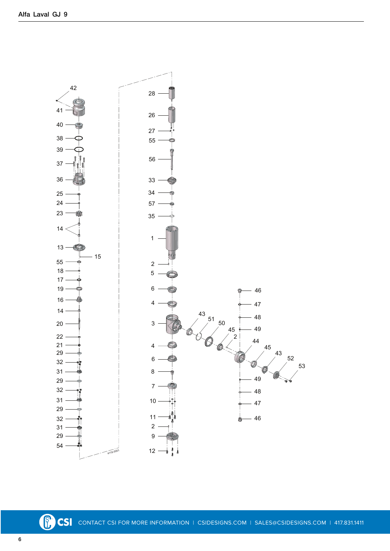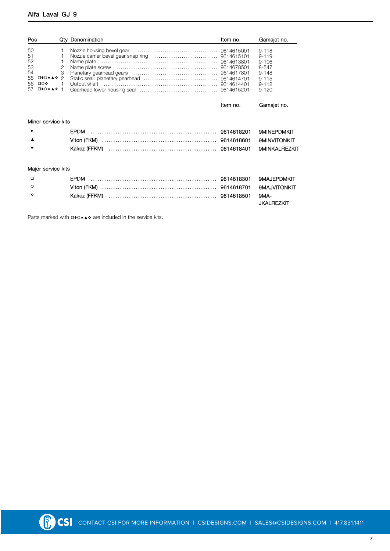## Alfa Laval GJ 9

| Pos                                                                            |                                             | Qty Denomination | Item no. | Gamajet no.                                                                                      |
|--------------------------------------------------------------------------------|---------------------------------------------|------------------|----------|--------------------------------------------------------------------------------------------------|
| 50<br>51<br>52<br>53<br>54<br>55<br>⊡♦○★▲❖<br>□○❖<br>56<br><b>□◆○★▲◆</b><br>57 | 1<br>2<br>3<br>$\mathcal{P}$<br>$\mathbf 1$ | Name plate       |          | $9 - 118$<br>$9 - 119$<br>$9 - 106$<br>8-547<br>$9 - 148$<br>$9 - 115$<br>$9 - 112$<br>$9 - 120$ |
|                                                                                |                                             |                  | Item no. | Gamajet no.                                                                                      |
| Minor service kits                                                             |                                             |                  |          |                                                                                                  |
|                                                                                |                                             | <b>EPDM</b>      |          | <b>9MINEPDMKIT</b>                                                                               |
|                                                                                |                                             |                  |          | <b>9MINVITONKIT</b>                                                                              |
| *                                                                              |                                             |                  |          | <b>9MINKALREZKIT</b>                                                                             |
| Major service kits                                                             |                                             |                  |          |                                                                                                  |
| $\Box$                                                                         |                                             | <b>FPDM</b>      |          | <b>9MAJEPDMKIT</b>                                                                               |
| $\circ$                                                                        |                                             |                  |          | <b>9MAJVITONKIT</b>                                                                              |
| ٠                                                                              |                                             | Kalrez (FFKM)    |          | 9MA-<br><b>JKALREZKIT</b>                                                                        |

Parts marked with  $\Box \bullet \circ \star \blacktriangle \bullet$  are included in the service kits.